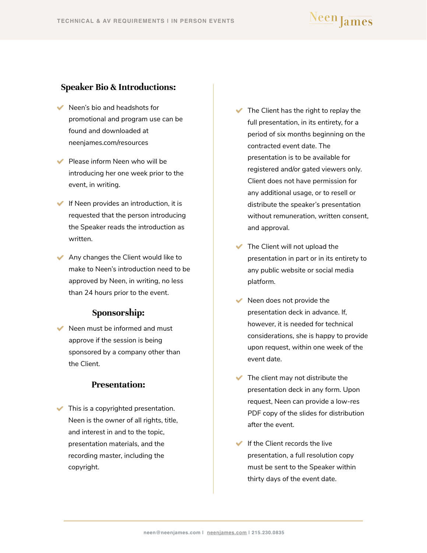#### <span id="page-0-0"></span>**Speaker Bio & Introductions:**

- Neen's bio and headshots for promotional and program use can be found and downloaded at neenjames.com/resources
- $\blacktriangleright$  Please inform Neen who will be introducing her one week prior to the event, in writing.
- $\blacktriangleright$  If Neen provides an introduction, it is requested that the person introducing the Speaker reads the introduction as written.
- Any changes the Client would like to make to Neen's introduction need to be approved by Neen, in writing, no less than 24 hours prior to the event.

#### **Sponsorship:**

 $\blacktriangleright$  Neen must be informed and must approve if the session is being sponsored by a company other than the Client.

#### **Presentation:**

 $\blacktriangleright$  This is a copyrighted presentation. Neen is the owner of all rights, title, and interest in and to the topic, presentation materials, and the recording master, including the copyright.

- $\blacktriangleright$  The Client has the right to replay the full presentation, in its entirety, for a period of six months beginning on the contracted event date. The presentation is to be available for registered and/or gated viewers only. Client does not have permission for any additional usage, or to resell or distribute the speaker's presentation without remuneration, written consent, and approval.
- The Client will not upload the presentation in part or in its entirety to any public website or social media platform.
- $\blacktriangleright$  Neen does not provide the presentation deck in advance. If, however, it is needed for technical considerations, she is happy to provide upon request, within one week of the event date.
- $\blacktriangleright$  The client may not distribute the presentation deck in any form. Upon request, Neen can provide a low-res PDF copy of the slides for distribution after the event.
- $\blacksquare$  If the Client records the live presentation, a full resolution copy must be sent to the Speaker within thirty days of the event date.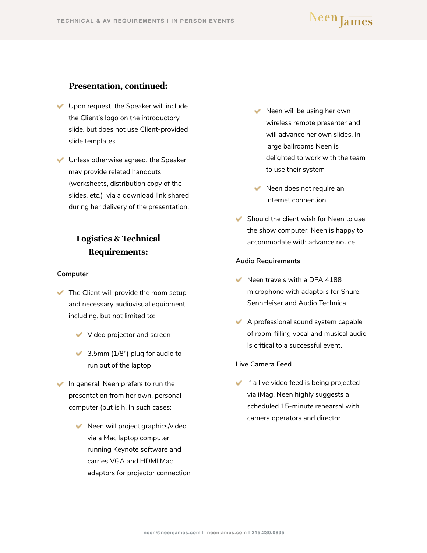## Neen James

#### <span id="page-1-0"></span>**Presentation, continued:**

- Upon request, the Speaker will include the Client's logo on the introductory slide, but does not use Client-provided slide templates.
- Unless otherwise agreed, the Speaker may provide related handouts (worksheets, distribution copy of the slides, etc.) via a download link shared during her delivery of the presentation.

### **Logistics & Technical Requirements:**

#### **Computer**

- $\blacktriangleright$  The Client will provide the room setup and necessary audiovisual equipment including, but not limited to:
	- Video projector and screen
	- 3.5mm (1/8") plug for audio to run out of the laptop
- $\blacktriangleright$  In general, Neen prefers to run the presentation from her own, personal computer (but is h. In such cases:
	- $\blacktriangleright$  Neen will project graphics/video via a Mac laptop computer running Keynote software and carries VGA and HDMI Mac adaptors for projector connection
- $\blacktriangleright$  Neen will be using her own wireless remote presenter and will advance her own slides. In large ballrooms Neen is delighted to work with the team to use their system
- $\blacktriangleright$  Neen does not require an Internet connection.
- $\blacktriangleright$  Should the client wish for Neen to use the show computer, Neen is happy to accommodate with advance notice

#### **Audio Requirements**

- $\blacktriangleright$  Neen travels with a DPA 4188 microphone with adaptors for Shure, SennHeiser and Audio Technica
- $\blacktriangleright$  A professional sound system capable of room-filling vocal and musical audio is critical to a successful event.

#### **Live Camera Feed**

If a live video feed is being projected via iMag, Neen highly suggests a scheduled 15-minute rehearsal with camera operators and director.